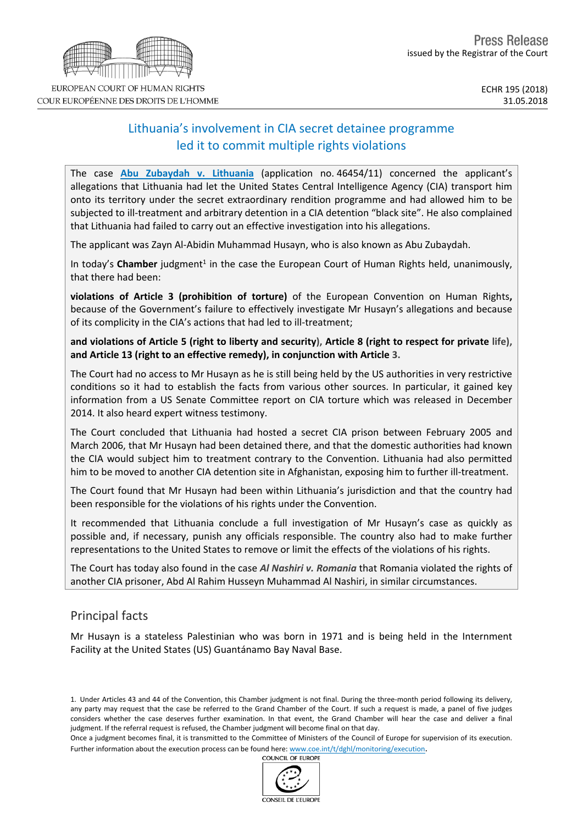# Lithuania's involvement in CIA secret detainee programme led it to commit multiple rights violations

The case **Abu [Zubaydah](http://hudoc.echr.coe.int/eng?i=001-183687) v. Lithuania** (application no. 46454/11) concerned the applicant's allegations that Lithuania had let the United States Central Intelligence Agency (CIA) transport him onto its territory under the secret extraordinary rendition programme and had allowed him to be subjected to ill-treatment and arbitrary detention in a CIA detention "black site". He also complained that Lithuania had failed to carry out an effective investigation into his allegations.

The applicant was Zayn Al-Abidin Muhammad Husayn, who is also known as Abu Zubaydah.

In today's Chamber judgment<sup>1</sup> in the case the European Court of Human Rights held, unanimously, that there had been:

**violations of Article 3 (prohibition of torture)** of the European Convention on Human Rights**,** because of the Government's failure to effectively investigate Mr Husayn's allegations and because of its complicity in the CIA's actions that had led to ill-treatment;

and violations of Article 5 (right to liberty and security), Article 8 (right to respect for private life), **and Article 13 (right to an effective remedy), in conjunction with Article 3.**

The Court had no access to Mr Husayn as he is still being held by the US authorities in very restrictive conditions so it had to establish the facts from various other sources. In particular, it gained key information from a US Senate Committee report on CIA torture which was released in December 2014. It also heard expert witness testimony.

The Court concluded that Lithuania had hosted a secret CIA prison between February 2005 and March 2006, that Mr Husayn had been detained there, and that the domestic authorities had known the CIA would subject him to treatment contrary to the Convention. Lithuania had also permitted him to be moved to another CIA detention site in Afghanistan, exposing him to further ill-treatment.

The Court found that Mr Husayn had been within Lithuania's jurisdiction and that the country had been responsible for the violations of his rights under the Convention.

It recommended that Lithuania conclude a full investigation of Mr Husayn's case as quickly as possible and, if necessary, punish any officials responsible. The country also had to make further representations to the United States to remove or limit the effects of the violations of his rights.

The Court has today also found in the case *Al Nashiri v. Romania* that Romania violated the rights of another CIA prisoner, Abd Al Rahim Husseyn Muhammad Al Nashiri, in similar circumstances.

## Principal facts

Mr Husayn is a stateless Palestinian who was born in 1971 and is being held in the Internment Facility at the United States (US) Guantánamo Bay Naval Base.

1. Under Articles 43 and 44 of the Convention, this Chamber judgment is not final. During the three-month period following its delivery, any party may request that the case be referred to the Grand Chamber of the Court. If such a request is made, a panel of five judges considers whether the case deserves further examination. In that event, the Grand Chamber will hear the case and deliver a final judgment. If the referral request is refused, the Chamber judgment will become final on that day.

Once a judgment becomes final, it is transmitted to the Committee of Ministers of the Council of Europe for supervision of its execution. Further information about the execution process can be found here: [www.coe.int/t/dghl/monitoring/execution](http://www.coe.int/t/dghl/monitoring/execution).<br>COUNCIL OF EUROPE

CONSEIL DE L'EUROPE

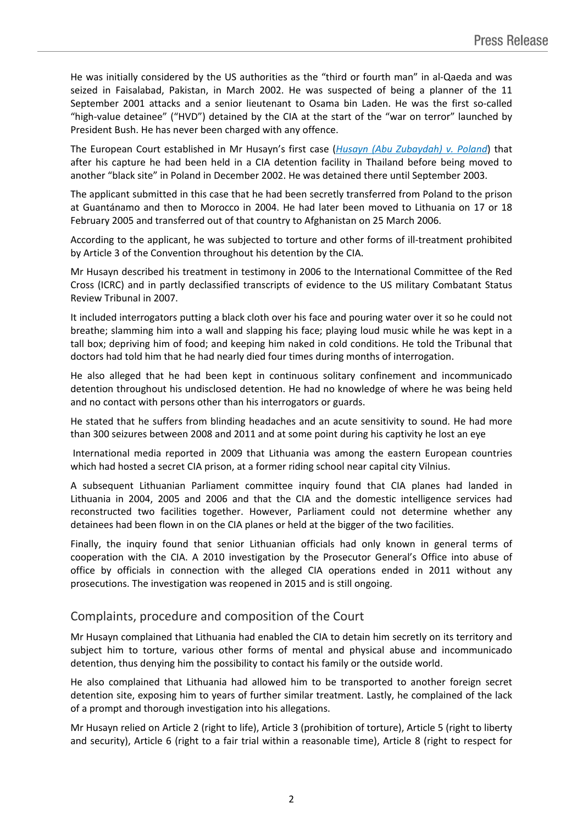He was initially considered by the US authorities as the "third or fourth man" in al-Qaeda and was seized in Faisalabad, Pakistan, in March 2002. He was suspected of being a planner of the 11 September 2001 attacks and a senior lieutenant to Osama bin Laden. He was the first so-called "high-value detainee" ("HVD") detained by the CIA at the start of the "war on terror" launched by President Bush. He has never been charged with any offence.

The European Court established in Mr Husayn's first case (*Husayn (Abu [Zubaydah\)](http://hudoc.echr.coe.int/eng?i=001-146047) v. Poland*) that after his capture he had been held in a CIA detention facility in Thailand before being moved to another "black site" in Poland in December 2002. He was detained there until September 2003.

The applicant submitted in this case that he had been secretly transferred from Poland to the prison at Guantánamo and then to Morocco in 2004. He had later been moved to Lithuania on 17 or 18 February 2005 and transferred out of that country to Afghanistan on 25 March 2006.

According to the applicant, he was subjected to torture and other forms of ill-treatment prohibited by Article 3 of the Convention throughout his detention by the CIA.

Mr Husayn described his treatment in testimony in 2006 to the International Committee of the Red Cross (ICRC) and in partly declassified transcripts of evidence to the US military Combatant Status Review Tribunal in 2007.

It included interrogators putting a black cloth over his face and pouring water over it so he could not breathe; slamming him into a wall and slapping his face; playing loud music while he was kept in a tall box; depriving him of food; and keeping him naked in cold conditions. He told the Tribunal that doctors had told him that he had nearly died four times during months of interrogation.

He also alleged that he had been kept in continuous solitary confinement and incommunicado detention throughout his undisclosed detention. He had no knowledge of where he was being held and no contact with persons other than his interrogators or guards.

He stated that he suffers from blinding headaches and an acute sensitivity to sound. He had more than 300 seizures between 2008 and 2011 and at some point during his captivity he lost an eye

International media reported in 2009 that Lithuania was among the eastern European countries which had hosted a secret CIA prison, at a former riding school near capital city Vilnius.

A subsequent Lithuanian Parliament committee inquiry found that CIA planes had landed in Lithuania in 2004, 2005 and 2006 and that the CIA and the domestic intelligence services had reconstructed two facilities together. However, Parliament could not determine whether any detainees had been flown in on the CIA planes or held at the bigger of the two facilities.

Finally, the inquiry found that senior Lithuanian officials had only known in general terms of cooperation with the CIA. A 2010 investigation by the Prosecutor General's Office into abuse of office by officials in connection with the alleged CIA operations ended in 2011 without any prosecutions. The investigation was reopened in 2015 and is still ongoing.

## Complaints, procedure and composition of the Court

Mr Husayn complained that Lithuania had enabled the CIA to detain him secretly on its territory and subject him to torture, various other forms of mental and physical abuse and incommunicado detention, thus denying him the possibility to contact his family or the outside world.

He also complained that Lithuania had allowed him to be transported to another foreign secret detention site, exposing him to years of further similar treatment. Lastly, he complained of the lack of a prompt and thorough investigation into his allegations.

Mr Husayn relied on Article 2 (right to life), Article 3 (prohibition of torture), Article 5 (right to liberty and security), Article 6 (right to a fair trial within a reasonable time), Article 8 (right to respect for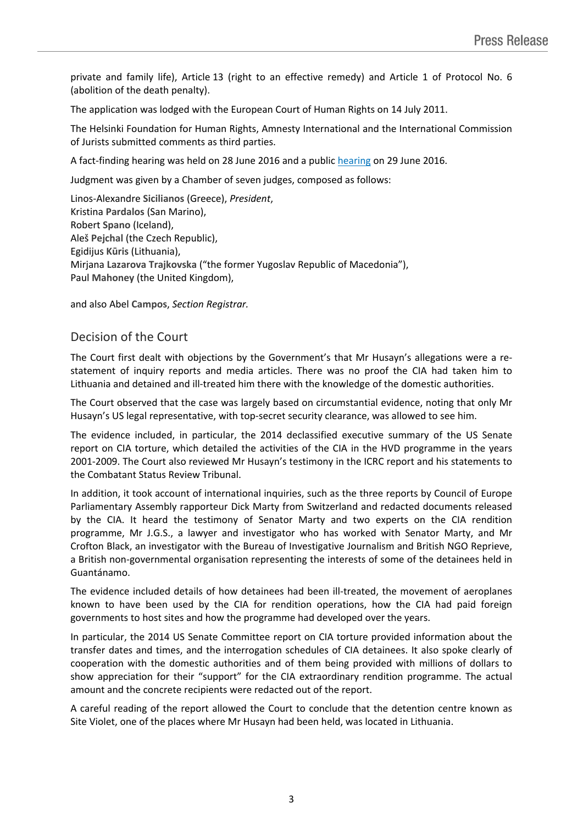private and family life), Article 13 (right to an effective remedy) and Article 1 of Protocol No. 6 (abolition of the death penalty).

The application was lodged with the European Court of Human Rights on 14 July 2011.

The Helsinki Foundation for Human Rights, Amnesty International and the International Commission of Jurists submitted comments as third parties.

A fact-finding hearing was held on 28 June 2016 and a public [hearing](http://hudoc.echr.coe.int/eng-press?i=003-5421963-6788370) on 29 June 2016.

Judgment was given by a Chamber of seven judges, composed as follows:

Linos-Alexandre **Sicilianos** (Greece), *President*, Kristina **Pardalos** (San Marino), Robert **Spano** (Iceland), Aleš **Pejchal** (the Czech Republic), Egidijus **Kūris** (Lithuania), Mirjana **Lazarova Trajkovska** ("the former Yugoslav Republic of Macedonia"), Paul **Mahoney** (the United Kingdom),

and also Abel **Campos**, *Section Registrar.*

## Decision of the Court

The Court first dealt with objections by the Government's that Mr Husayn's allegations were a restatement of inquiry reports and media articles. There was no proof the CIA had taken him to Lithuania and detained and ill-treated him there with the knowledge of the domestic authorities.

The Court observed that the case was largely based on circumstantial evidence, noting that only Mr Husayn's US legal representative, with top-secret security clearance, was allowed to see him.

The evidence included, in particular, the 2014 declassified executive summary of the US Senate report on CIA torture, which detailed the activities of the CIA in the HVD programme in the years 2001-2009. The Court also reviewed Mr Husayn's testimony in the ICRC report and his statements to the Combatant Status Review Tribunal.

In addition, it took account of international inquiries, such as the three reports by Council of Europe Parliamentary Assembly rapporteur Dick Marty from Switzerland and redacted documents released by the CIA. It heard the testimony of Senator Marty and two experts on the CIA rendition programme, Mr J.G.S., a lawyer and investigator who has worked with Senator Marty, and Mr Crofton Black, an investigator with the Bureau of Investigative Journalism and British NGO Reprieve, a British non-governmental organisation representing the interests of some of the detainees held in Guantánamo.

The evidence included details of how detainees had been ill-treated, the movement of aeroplanes known to have been used by the CIA for rendition operations, how the CIA had paid foreign governments to host sites and how the programme had developed over the years.

In particular, the 2014 US Senate Committee report on CIA torture provided information about the transfer dates and times, and the interrogation schedules of CIA detainees. It also spoke clearly of cooperation with the domestic authorities and of them being provided with millions of dollars to show appreciation for their "support" for the CIA extraordinary rendition programme. The actual amount and the concrete recipients were redacted out of the report.

A careful reading of the report allowed the Court to conclude that the detention centre known as Site Violet, one of the places where Mr Husayn had been held, was located in Lithuania.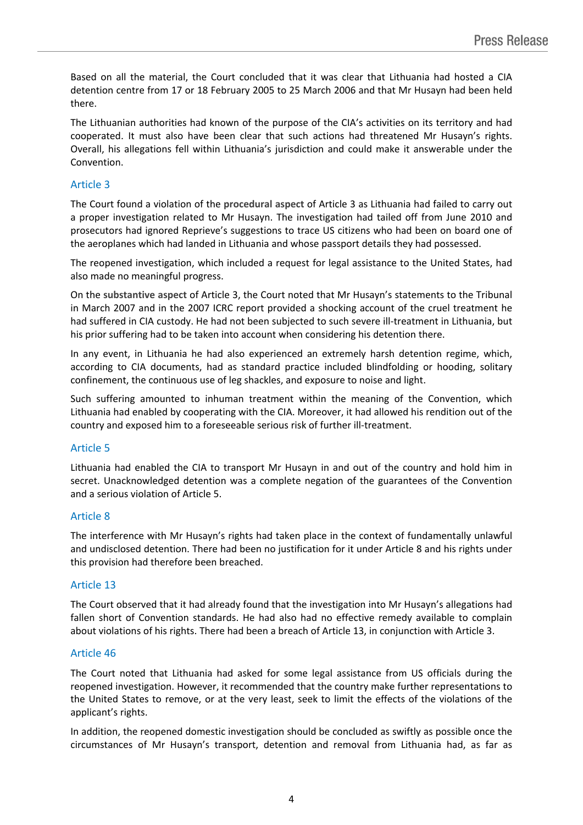Based on all the material, the Court concluded that it was clear that Lithuania had hosted a CIA detention centre from 17 or 18 February 2005 to 25 March 2006 and that Mr Husayn had been held there.

The Lithuanian authorities had known of the purpose of the CIA's activities on its territory and had cooperated. It must also have been clear that such actions had threatened Mr Husayn's rights. Overall, his allegations fell within Lithuania's jurisdiction and could make it answerable under the Convention.

#### Article 3

The Court found a violation of the **procedural aspect** of Article 3 as Lithuania had failed to carry out a proper investigation related to Mr Husayn. The investigation had tailed off from June 2010 and prosecutors had ignored Reprieve's suggestions to trace US citizens who had been on board one of the aeroplanes which had landed in Lithuania and whose passport details they had possessed.

The reopened investigation, which included a request for legal assistance to the United States, had also made no meaningful progress.

On the **substantive aspect** of Article 3, the Court noted that Mr Husayn's statements to the Tribunal in March 2007 and in the 2007 ICRC report provided a shocking account of the cruel treatment he had suffered in CIA custody. He had not been subjected to such severe ill-treatment in Lithuania, but his prior suffering had to be taken into account when considering his detention there.

In any event, in Lithuania he had also experienced an extremely harsh detention regime, which, according to CIA documents, had as standard practice included blindfolding or hooding, solitary confinement, the continuous use of leg shackles, and exposure to noise and light.

Such suffering amounted to inhuman treatment within the meaning of the Convention, which Lithuania had enabled by cooperating with the CIA. Moreover, it had allowed his rendition out of the country and exposed him to a foreseeable serious risk of further ill-treatment.

### Article 5

Lithuania had enabled the CIA to transport Mr Husayn in and out of the country and hold him in secret. Unacknowledged detention was a complete negation of the guarantees of the Convention and a serious violation of Article 5.

### Article 8

The interference with Mr Husayn's rights had taken place in the context of fundamentally unlawful and undisclosed detention. There had been no justification for it under Article 8 and his rights under this provision had therefore been breached.

#### Article 13

The Court observed that it had already found that the investigation into Mr Husayn's allegations had fallen short of Convention standards. He had also had no effective remedy available to complain about violations of his rights. There had been a breach of Article 13, in conjunction with Article 3.

#### Article 46

The Court noted that Lithuania had asked for some legal assistance from US officials during the reopened investigation. However, it recommended that the country make further representations to the United States to remove, or at the very least, seek to limit the effects of the violations of the applicant's rights.

In addition, the reopened domestic investigation should be concluded as swiftly as possible once the circumstances of Mr Husayn's transport, detention and removal from Lithuania had, as far as